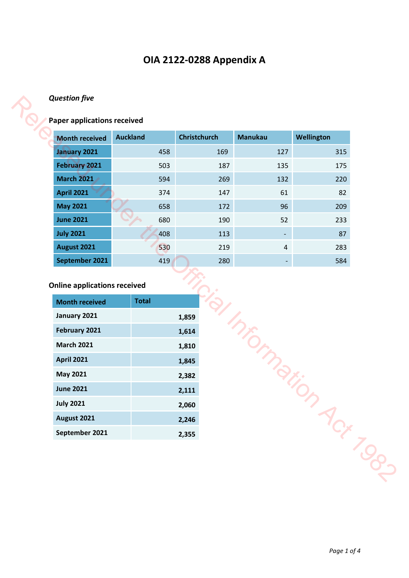# **OIA 2122-0288 Appendix A**

### *Question five*

# **Paper applications received**

| <b>Month received</b>                                                                      | <b>Auckland</b> |            | <b>Christchurch</b> | <b>Manukau</b> | Wellington |
|--------------------------------------------------------------------------------------------|-----------------|------------|---------------------|----------------|------------|
| <b>January 2021</b>                                                                        |                 | 458        | 169                 | 127            | 315        |
| <b>February 2021</b>                                                                       |                 | 503        | 187                 | 135            | 175        |
| <b>March 2021</b>                                                                          |                 | 594        | 269                 | 132            | 220        |
| <b>April 2021</b>                                                                          |                 | 374        | 147                 | 61             | 82         |
| <b>May 2021</b>                                                                            |                 | 658        | 172                 | 96             | 209        |
| <b>June 2021</b>                                                                           |                 | 680        | 190                 | 52             | 233        |
| <b>July 2021</b>                                                                           |                 | 408        | 113                 |                | 87         |
| <b>August 2021</b><br>September 2021                                                       |                 | 530<br>419 | 219<br>280          | $\overline{4}$ | 283<br>584 |
| <b>Online applications received</b><br><b>Month received</b>                               | <b>Total</b>    |            |                     |                |            |
|                                                                                            |                 |            |                     |                |            |
|                                                                                            |                 |            | 1,859               |                |            |
|                                                                                            |                 |            | 1,614               |                |            |
|                                                                                            |                 |            | 1,810<br>1,845      |                |            |
| January 2021<br>February 2021<br><b>March 2021</b><br><b>April 2021</b><br><b>May 2021</b> |                 |            | 2,382               |                |            |
| <b>June 2021</b>                                                                           |                 |            | 2,111               |                |            |
|                                                                                            |                 |            | 2,060               | Informatio     |            |
| <b>July 2021</b><br><b>August 2021</b>                                                     |                 |            | 2,246               |                | Act TOP    |

### **Online applications received**

| <b>Month received</b> | <b>Total</b> |
|-----------------------|--------------|
| January 2021          | 1,859        |
| <b>February 2021</b>  | 1,614        |
| <b>March 2021</b>     | 1,810        |
| <b>April 2021</b>     | 1,845        |
| <b>May 2021</b>       | 2,382        |
| <b>June 2021</b>      | 2,111        |
| <b>July 2021</b>      | 2,060        |
| August 2021           | 2,246        |
| September 2021        | 2,355        |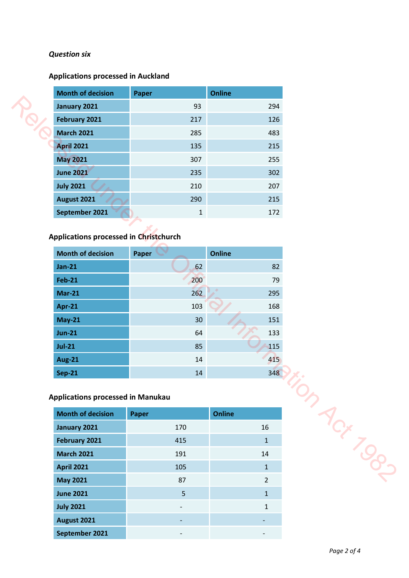### *Question six*

### **Applications processed in Auckland**

| <b>Month of decision</b>                                           | Paper        | <b>Online</b>  |
|--------------------------------------------------------------------|--------------|----------------|
| January 2021                                                       | 93           | 294            |
| February 2021                                                      | 217          | 126            |
| <b>March 2021</b>                                                  | 285          | 483            |
| <b>April 2021</b>                                                  | 135          | 215            |
| <b>May 2021</b>                                                    | 307          | 255            |
| <b>June 2021</b>                                                   | 235          | 302            |
| <b>July 2021</b>                                                   | 210          | 207            |
| <b>August 2021</b>                                                 | 290          | 215            |
| September 2021                                                     | $\mathbf{1}$ | 172            |
| Applications processed in Christchurch<br><b>Month of decision</b> | Paper        | <b>Online</b>  |
| $Jan-21$                                                           | 62           | 82             |
| <b>Feb-21</b>                                                      | 200          | 79             |
| <b>Mar-21</b>                                                      | 262          | 295            |
| <b>Apr-21</b>                                                      | 103          | 168            |
| <b>May-21</b>                                                      | 30           | 151            |
| $Jun-21$                                                           | 64           | 133            |
| $Jul-21$                                                           | 85           | 115            |
| <b>Aug-21</b>                                                      | 14           | 415            |
| <b>Sep-21</b>                                                      | 14           | 348            |
| <b>Applications processed in Manukau</b>                           |              | In Act Top-    |
| <b>Month of decision</b>                                           | Paper        | <b>Online</b>  |
| January 2021                                                       | 170          | 16             |
| February 2021                                                      | 415          | $1\,$          |
| <b>March 2021</b>                                                  | 191          | 14             |
| <b>April 2021</b>                                                  | 105          | $\mathbf{1}$   |
| <b>May 2021</b>                                                    | 87           | $\overline{2}$ |
| <b>June 2021</b>                                                   | 5            | $1\,$          |

## **Applications processed in Christchurch**

| <b>Month of decision</b> | Paper | <b>Online</b> |
|--------------------------|-------|---------------|
| <b>Jan-21</b>            | 62    | 82            |
| <b>Feb-21</b>            | 200   | 79            |
| <b>Mar-21</b>            | 262   | 295           |
| Apr-21                   | 103   | 168           |
| <b>May-21</b>            | 30    | 151           |
| <b>Jun-21</b>            | 64    | 133           |
| <b>Jul-21</b>            | 85    | 115           |
| <b>Aug-21</b>            | 14    | 415           |
| <b>Sep-21</b>            | 14    | 348           |

## **Applications processed in Manukau**

| <b>Month of decision</b> | <b>Paper</b>             | <b>Online</b> |
|--------------------------|--------------------------|---------------|
| January 2021             | 170                      | 16            |
| <b>February 2021</b>     | 415                      | $\mathbf{1}$  |
| <b>March 2021</b>        | 191                      | 14            |
| <b>April 2021</b>        | 105                      | $\mathbf{1}$  |
| <b>May 2021</b>          | 87                       | $\mathcal{P}$ |
| <b>June 2021</b>         | 5                        | $\mathbf{1}$  |
| <b>July 2021</b>         | $\overline{\phantom{a}}$ | $\mathbf{1}$  |
| August 2021              |                          |               |
| September 2021           |                          |               |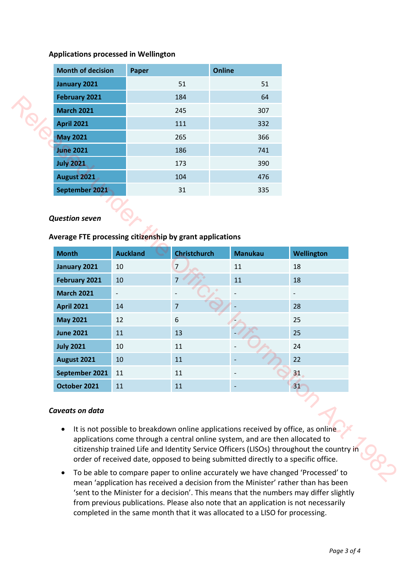### **Applications processed in Wellington**

| January 2021<br>51<br>51<br><b>February 2021</b><br>64<br>184<br><b>March 2021</b><br>245<br>307<br><b>April 2021</b><br>111<br>332<br><b>May 2021</b><br>265<br>366<br><b>June 2021</b><br>186<br>741<br><b>July 2021</b><br>173<br>390<br>August 2021<br>104<br>476 | <b>Month of decision</b> | Paper | <b>Online</b> |
|-----------------------------------------------------------------------------------------------------------------------------------------------------------------------------------------------------------------------------------------------------------------------|--------------------------|-------|---------------|
|                                                                                                                                                                                                                                                                       |                          |       |               |
|                                                                                                                                                                                                                                                                       |                          |       |               |
|                                                                                                                                                                                                                                                                       |                          |       |               |
|                                                                                                                                                                                                                                                                       |                          |       |               |
|                                                                                                                                                                                                                                                                       |                          |       |               |
|                                                                                                                                                                                                                                                                       |                          |       |               |
|                                                                                                                                                                                                                                                                       |                          |       |               |
|                                                                                                                                                                                                                                                                       |                          |       |               |
| September 2021<br>31<br>335                                                                                                                                                                                                                                           |                          |       |               |

#### *Question seven*

#### **Average FTE processing citizenship by grant applications**

|                       |                                                          | 184                 | 64             |                   |
|-----------------------|----------------------------------------------------------|---------------------|----------------|-------------------|
| <b>March 2021</b>     |                                                          | 245                 | 307            |                   |
| <b>April 2021</b>     |                                                          | 111                 | 332            |                   |
| <b>May 2021</b>       |                                                          | 265                 | 366            |                   |
| <b>June 2021</b>      |                                                          | 186                 | 741            |                   |
| <b>July 2021</b>      |                                                          | 173                 | 390            |                   |
| <b>August 2021</b>    |                                                          | 104                 | 476            |                   |
| September 2021        |                                                          | 31                  | 335            |                   |
| <b>Question seven</b> | Average FTE processing citizenship by grant applications |                     |                |                   |
| <b>Month</b>          | <b>Auckland</b>                                          | <b>Christchurch</b> | <b>Manukau</b> | <b>Wellington</b> |
| January 2021          | 10                                                       | 7                   | 11             | 18                |
| February 2021         | 10                                                       | $\overline{7}$      | 11             | 18                |
| <b>March 2021</b>     | $\overline{\phantom{a}}$                                 |                     |                |                   |
|                       |                                                          |                     |                |                   |
| <b>April 2021</b>     | 14                                                       | $\overline{7}$      |                | 28                |
| <b>May 2021</b>       | 12                                                       | 6                   |                | 25                |
| <b>June 2021</b>      | 11                                                       | 13                  |                | 25                |
| <b>July 2021</b>      | $10\,$                                                   | 11                  |                | 24                |
| <b>August 2021</b>    | 10                                                       | 11                  |                | 22                |
| September 2021        | $11\,$                                                   | 11                  |                | 31                |
| October 2021          | 11                                                       | 11                  |                | 31                |

#### *Caveats on data*

- It is not possible to breakdown online applications received by office, as online applications come through a central online system, and are then allocated to citizenship trained Life and Identity Service Officers (LISOs) throughout the country in order of received date, opposed to being submitted directly to a specific office.
- To be able to compare paper to online accurately we have changed 'Processed' to mean 'application has received a decision from the Minister' rather than has been 'sent to the Minister for a decision'. This means that the numbers may differ slightly from previous publications. Please also note that an application is not necessarily completed in the same month that it was allocated to a LISO for processing.